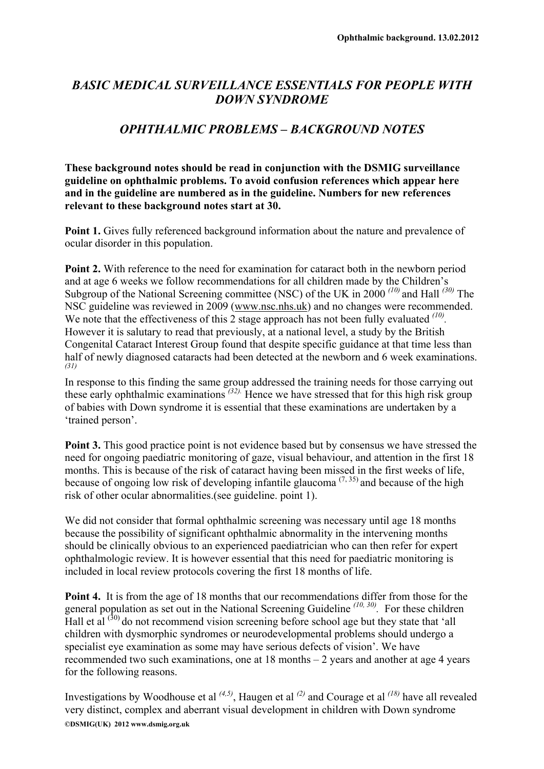## *BASIC MEDICAL SURVEILLANCE ESSENTIALS FOR PEOPLE WITH DOWN SYNDROME*

## *OPHTHALMIC PROBLEMS – BACKGROUND NOTES*

**These background notes should be read in conjunction with the DSMIG surveillance guideline on ophthalmic problems. To avoid confusion references which appear here and in the guideline are numbered as in the guideline. Numbers for new references relevant to these background notes start at 30.** 

**Point 1.** Gives fully referenced background information about the nature and prevalence of ocular disorder in this population.

**Point 2.** With reference to the need for examination for cataract both in the newborn period and at age 6 weeks we follow recommendations for all children made by the Children's Subgroup of the National Screening committee (NSC) of the UK in 2000 *(10)* and Hall *(30)* The NSC guideline was reviewed in 2009 ([www.nsc.nhs.uk](http://www.nsc.nhs.uk/)) and no changes were recommended. We note that the effectiveness of this 2 stage approach has not been fully evaluated <sup>(10)</sup>. However it is salutary to read that previously, at a national level, a study by the British Congenital Cataract Interest Group found that despite specific guidance at that time less than half of newly diagnosed cataracts had been detected at the newborn and 6 week examinations. *(31)*

In response to this finding the same group addressed the training needs for those carrying out these early ophthalmic examinations <sup>(32)</sup>. Hence we have stressed that for this high risk group of babies with Down syndrome it is essential that these examinations are undertaken by a 'trained person'.

**Point 3.** This good practice point is not evidence based but by consensus we have stressed the need for ongoing paediatric monitoring of gaze, visual behaviour, and attention in the first 18 months. This is because of the risk of cataract having been missed in the first weeks of life, because of ongoing low risk of developing infantile glaucoma<sup> $(7, 35)$ </sup> and because of the high risk of other ocular abnormalities.(see guideline. point 1).

We did not consider that formal ophthalmic screening was necessary until age 18 months because the possibility of significant ophthalmic abnormality in the intervening months should be clinically obvious to an experienced paediatrician who can then refer for expert ophthalmologic review. It is however essential that this need for paediatric monitoring is included in local review protocols covering the first 18 months of life.

**Point 4.** It is from the age of 18 months that our recommendations differ from those for the general population as set out in the National Screening Guideline <sup>(10, 30)</sup>. For these children Hall et al  $(30)$  do not recommend vision screening before school age but they state that 'all children with dysmorphic syndromes or neurodevelopmental problems should undergo a specialist eye examination as some may have serious defects of vision'. We have recommended two such examinations, one at 18 months – 2 years and another at age 4 years for the following reasons.

**©DSMIG(UK) 2012 www.dsmig.org.uk**  Investigations by Woodhouse et al *(4,5)*, Haugen et al *(2)* and Courage et al *(18)* have all revealed very distinct, complex and aberrant visual development in children with Down syndrome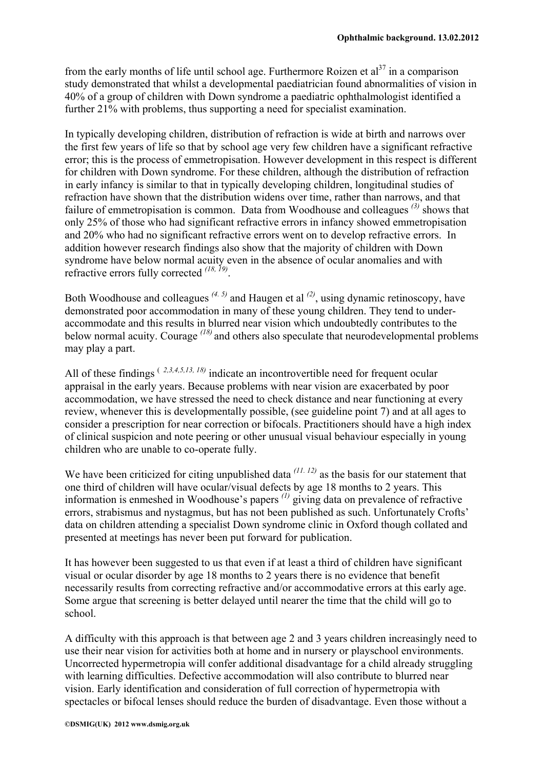from the early months of life until school age. Furthermore Roizen et al<sup>37</sup> in a comparison study demonstrated that whilst a developmental paediatrician found abnormalities of vision in 40% of a group of children with Down syndrome a paediatric ophthalmologist identified a further 21% with problems, thus supporting a need for specialist examination.

In typically developing children, distribution of refraction is wide at birth and narrows over the first few years of life so that by school age very few children have a significant refractive error; this is the process of emmetropisation. However development in this respect is different for children with Down syndrome. For these children, although the distribution of refraction in early infancy is similar to that in typically developing children, longitudinal studies of refraction have shown that the distribution widens over time, rather than narrows, and that failure of emmetropisation is common. Data from Woodhouse and colleagues *(3)* shows that only 25% of those who had significant refractive errors in infancy showed emmetropisation and 20% who had no significant refractive errors went on to develop refractive errors. In addition however research findings also show that the majority of children with Down syndrome have below normal acuity even in the absence of ocular anomalies and with refractive errors fully corrected *(18, 19)*.

Both Woodhouse and colleagues *(4. 5)* and Haugen et al *(2)*, using dynamic retinoscopy, have demonstrated poor accommodation in many of these young children. They tend to underaccommodate and this results in blurred near vision which undoubtedly contributes to the below normal acuity. Courage *(18)* and others also speculate that neurodevelopmental problems may play a part.

All of these findings ( *2,3,4,5,13, 18)* indicate an incontrovertible need for frequent ocular appraisal in the early years. Because problems with near vision are exacerbated by poor accommodation, we have stressed the need to check distance and near functioning at every review, whenever this is developmentally possible, (see guideline point 7) and at all ages to consider a prescription for near correction or bifocals. Practitioners should have a high index of clinical suspicion and note peering or other unusual visual behaviour especially in young children who are unable to co-operate fully.

We have been criticized for citing unpublished data <sup>(11, 12)</sup> as the basis for our statement that one third of children will have ocular/visual defects by age 18 months to 2 years. This information is enmeshed in Woodhouse's papers *(1)* giving data on prevalence of refractive errors, strabismus and nystagmus, but has not been published as such. Unfortunately Crofts' data on children attending a specialist Down syndrome clinic in Oxford though collated and presented at meetings has never been put forward for publication.

It has however been suggested to us that even if at least a third of children have significant visual or ocular disorder by age 18 months to 2 years there is no evidence that benefit necessarily results from correcting refractive and/or accommodative errors at this early age. Some argue that screening is better delayed until nearer the time that the child will go to school.

A difficulty with this approach is that between age 2 and 3 years children increasingly need to use their near vision for activities both at home and in nursery or playschool environments. Uncorrected hypermetropia will confer additional disadvantage for a child already struggling with learning difficulties. Defective accommodation will also contribute to blurred near vision. Early identification and consideration of full correction of hypermetropia with spectacles or bifocal lenses should reduce the burden of disadvantage. Even those without a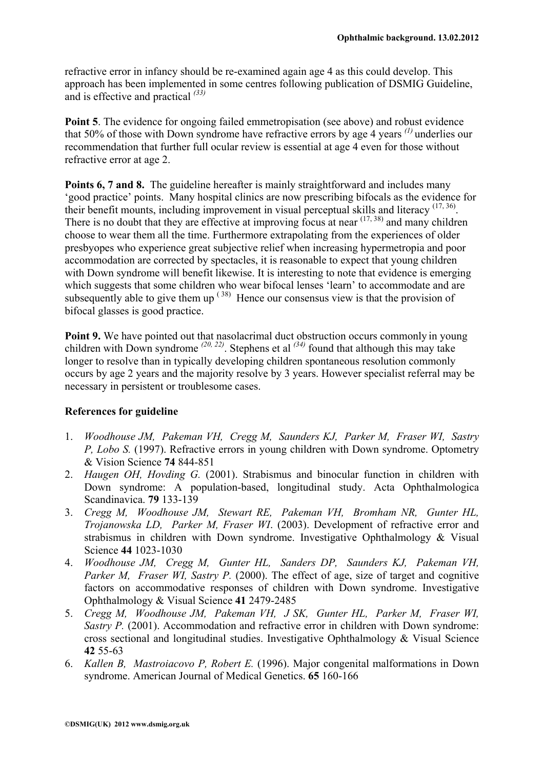refractive error in infancy should be re-examined again age 4 as this could develop. This approach has been implemented in some centres following publication of DSMIG Guideline, and is effective and practical *(33)* 

**Point 5**. The evidence for ongoing failed emmetropisation (see above) and robust evidence that 50% of those with Down syndrome have refractive errors by age 4 years *(1)* underlies our recommendation that further full ocular review is essential at age 4 even for those without refractive error at age 2.

**Points 6, 7 and 8.** The guideline hereafter is mainly straightforward and includes many 'good practice' points. Many hospital clinics are now prescribing bifocals as the evidence for their benefit mounts, including improvement in visual perceptual skills and literacy  $(17, 36)$ . There is no doubt that they are effective at improving focus at near  $(17, 38)$  and many children choose to wear them all the time. Furthermore extrapolating from the experiences of older presbyopes who experience great subjective relief when increasing hypermetropia and poor accommodation are corrected by spectacles, it is reasonable to expect that young children with Down syndrome will benefit likewise. It is interesting to note that evidence is emerging which suggests that some children who wear bifocal lenses 'learn' to accommodate and are subsequently able to give them up <sup>(38)</sup> Hence our consensus view is that the provision of bifocal glasses is good practice.

**Point 9.** We have pointed out that nasolacrimal duct obstruction occurs commonly in young children with Down syndrome *(20, 22)*. Stephens et al *(34)* found that although this may take longer to resolve than in typically developing children spontaneous resolution commonly occurs by age 2 years and the majority resolve by 3 years. However specialist referral may be necessary in persistent or troublesome cases.

## **References for guideline**

- 1. *Woodhouse JM, Pakeman VH, Cregg M, Saunders KJ, Parker M, Fraser WI, Sastry P, Lobo S.* (1997). Refractive errors in young children with Down syndrome. Optometry & Vision Science **74** 844-851
- 2. *Haugen OH, Hovding G.* (2001). Strabismus and binocular function in children with Down syndrome: A population-based, longitudinal study. Acta Ophthalmologica Scandinavica. **79** 133-139
- 3. *Cregg M, Woodhouse JM, Stewart RE, Pakeman VH, Bromham NR, Gunter HL, Trojanowska LD, Parker M, Fraser WI*. (2003). Development of refractive error and strabismus in children with Down syndrome. Investigative Ophthalmology & Visual Science **44** 1023-1030
- 4. *Woodhouse JM, Cregg M, Gunter HL, Sanders DP, Saunders KJ, Pakeman VH, Parker M, Fraser WI, Sastry P.* (2000). The effect of age, size of target and cognitive factors on accommodative responses of children with Down syndrome. Investigative Ophthalmology & Visual Science **41** 2479-2485
- 5. *Cregg M, Woodhouse JM, Pakeman VH, J SK, Gunter HL, Parker M, Fraser WI, Sastry P.* (2001). Accommodation and refractive error in children with Down syndrome: cross sectional and longitudinal studies. Investigative Ophthalmology & Visual Science **42** 55-63
- 6. *Kallen B, Mastroiacovo P, Robert E.* (1996). Major congenital malformations in Down syndrome. American Journal of Medical Genetics. **65** 160-166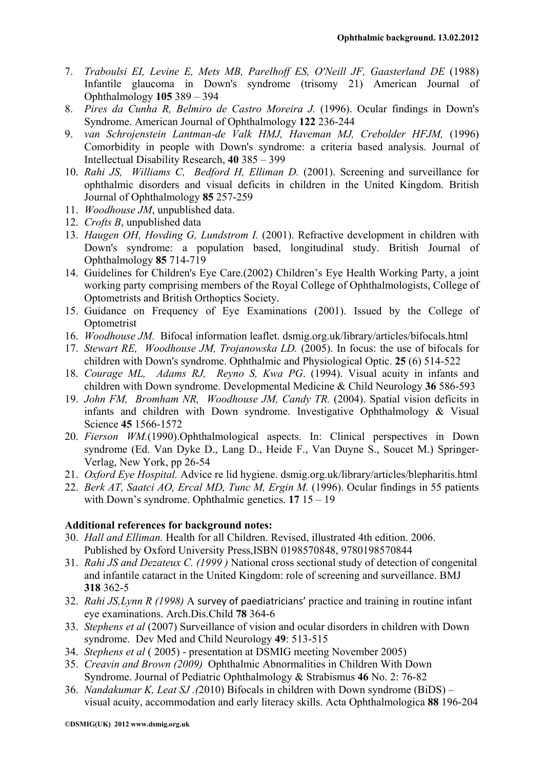- 7. *Traboulsi EI, Levine E, Mets MB, Parelhoff ES, O'Neill JF, Gaasterland DE* (1988) Infantile glaucoma in Down's syndrome (trisomy 21) American Journal of Ophthalmology **105** 389 – 394
- 8. *Pires da Cunha R, Belmiro de Castro Moreira J.* (1996). Ocular findings in Down's Syndrome. American Journal of Ophthalmology **122** 236-244
- 9. *van Schrojenstein Lantman-de Valk HMJ, Haveman MJ, Crebolder HFJM,* (1996) Comorbidity in people with Down's syndrome: a criteria based analysis. Journal of Intellectual Disability Research, **40** 385 – 399
- 10. *Rahi JS, Williams C, Bedford H, Elliman D.* (2001). Screening and surveillance for ophthalmic disorders and visual deficits in children in the United Kingdom. British Journal of Ophthalmology **85** 257-259
- 11. *Woodhouse JM*, unpublished data.
- 12. *Crofts B*, unpublished data
- 13. *Haugen OH, Hovding G, Lundstrom I.* (2001). Refractive development in children with Down's syndrome: a population based, longitudinal study. British Journal of Ophthalmology **85** 714-719
- 14. Guidelines for Children's Eye Care.(2002) Children's Eye Health Working Party, a joint working party comprising members of the Royal College of Ophthalmologists, College of Optometrists and British Orthoptics Society.
- 15. Guidance on Frequency of Eye Examinations (2001). Issued by the College of **Optometrist**
- 16. *Woodhouse JM.* Bifocal information leaflet. dsmig.org.uk/library/articles/bifocals.html
- 17. *Stewart RE, Woodhouse JM, Trojanowska LD.* (2005). In focus: the use of bifocals for children with Down's syndrome. Ophthalmic and Physiological Optic. **25** (6) 514-522
- 18. *Courage ML, Adams RJ, Reyno S, Kwa PG*. (1994). Visual acuity in infants and children with Down syndrome. Developmental Medicine & Child Neurology **36** 586-593
- 19. *John FM, Bromham NR, Woodhouse JM, Candy TR.* (2004). Spatial vision deficits in infants and children with Down syndrome. Investigative Ophthalmology & Visual Science **45** 1566-1572
- 20. *Fierson WM.*(1990).Ophthalmological aspects. In: Clinical perspectives in Down syndrome (Ed. Van Dyke D., Lang D., Heide F., Van Duyne S., Soucet M.) Springer-Verlag, New York, pp 26-54
- 21. *Oxford Eye Hospital.* Advice re lid hygiene. dsmig.org.uk/library/articles/blepharitis.html
- 22. *Berk AT, Saatci AO, Ercal MD, Tunc M, Ergin M.* (1996). Ocular findings in 55 patients with Down's syndrome. Ophthalmic genetics. **17** 15 – 19

## **Additional references for background notes:**

- 30. *Hall and Elliman.* Health for all Children. Revised, illustrated 4th edition. 2006. Published by Oxford University Press,ISBN 0198570848, 9780198570844
- 31. *Rahi JS and Dezateux C. (1999 )* National cross sectional study of detection of congenital and infantile cataract in the United Kingdom: role of screening and surveillance. BMJ **318** 362-5
- 32. *Rahi JS,Lynn R (1998)* A survey of paediatricians' practice and training in routine infant eye examinations. Arch.Dis.Child **78** 364-6
- 33. *Stephens et al* (2007) Surveillance of vision and ocular disorders in children with Down syndrome. Dev Med and Child Neurology **49**: 513-515
- 34. *Stephens et al* ( 2005) presentation at DSMIG meeting November 2005)
- 35. *Creavin and Brown (2009)* Ophthalmic Abnormalities in Children With Down Syndrome. Journal of Pediatric Ophthalmology & Strabismus **46** No. 2: 76-82
- 36. *Nandakumar K, Leat SJ .(*2010) Bifocals in children with Down syndrome (BiDS) visual acuity, accommodation and early literacy skills. Acta Ophthalmologica **88** 196-204